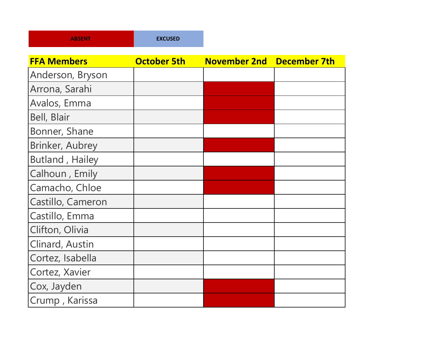| <b>ABSENT</b> | <b>EXCUSED</b> |
|---------------|----------------|
|---------------|----------------|

| <b>FFA Members</b> | <b>October 5th</b> | <b>November 2nd</b> | <b>December 7th</b> |
|--------------------|--------------------|---------------------|---------------------|
| Anderson, Bryson   |                    |                     |                     |
| Arrona, Sarahi     |                    |                     |                     |
| Avalos, Emma       |                    |                     |                     |
| Bell, Blair        |                    |                     |                     |
| Bonner, Shane      |                    |                     |                     |
| Brinker, Aubrey    |                    |                     |                     |
| Butland, Hailey    |                    |                     |                     |
| Calhoun, Emily     |                    |                     |                     |
| Camacho, Chloe     |                    |                     |                     |
| Castillo, Cameron  |                    |                     |                     |
| Castillo, Emma     |                    |                     |                     |
| Clifton, Olivia    |                    |                     |                     |
| Clinard, Austin    |                    |                     |                     |
| Cortez, Isabella   |                    |                     |                     |
| Cortez, Xavier     |                    |                     |                     |
| Cox, Jayden        |                    |                     |                     |
| Crump, Karissa     |                    |                     |                     |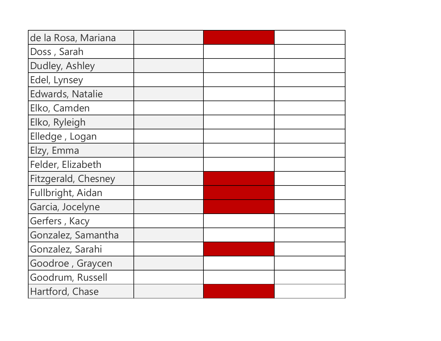| de la Rosa, Mariana     |  |  |
|-------------------------|--|--|
| Doss, Sarah             |  |  |
| Dudley, Ashley          |  |  |
| Edel, Lynsey            |  |  |
| <b>Edwards, Natalie</b> |  |  |
| Elko, Camden            |  |  |
| Elko, Ryleigh           |  |  |
| Elledge, Logan          |  |  |
| Elzy, Emma              |  |  |
| Felder, Elizabeth       |  |  |
| Fitzgerald, Chesney     |  |  |
| Fullbright, Aidan       |  |  |
| Garcia, Jocelyne        |  |  |
| Gerfers, Kacy           |  |  |
| Gonzalez, Samantha      |  |  |
| Gonzalez, Sarahi        |  |  |
| Goodroe, Graycen        |  |  |
| Goodrum, Russell        |  |  |
| Hartford, Chase         |  |  |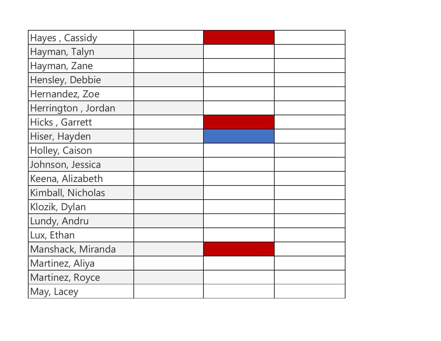| Hayes, Cassidy     |  |  |
|--------------------|--|--|
| Hayman, Talyn      |  |  |
| Hayman, Zane       |  |  |
| Hensley, Debbie    |  |  |
| Hernandez, Zoe     |  |  |
| Herrington, Jordan |  |  |
| Hicks, Garrett     |  |  |
| Hiser, Hayden      |  |  |
| Holley, Caison     |  |  |
| Johnson, Jessica   |  |  |
| Keena, Alizabeth   |  |  |
| Kimball, Nicholas  |  |  |
| Klozik, Dylan      |  |  |
| Lundy, Andru       |  |  |
| Lux, Ethan         |  |  |
| Manshack, Miranda  |  |  |
| Martinez, Aliya    |  |  |
| Martinez, Royce    |  |  |
| May, Lacey         |  |  |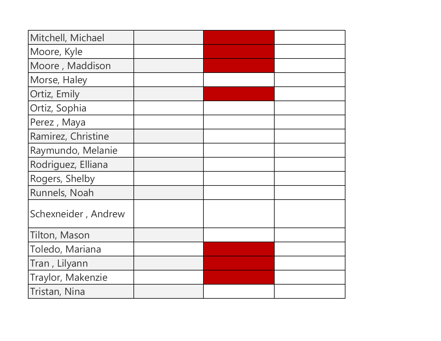| Mitchell, Michael   |  |  |
|---------------------|--|--|
| Moore, Kyle         |  |  |
| Moore, Maddison     |  |  |
| Morse, Haley        |  |  |
| Ortiz, Emily        |  |  |
| Ortiz, Sophia       |  |  |
| Perez, Maya         |  |  |
| Ramirez, Christine  |  |  |
| Raymundo, Melanie   |  |  |
| Rodriguez, Elliana  |  |  |
| Rogers, Shelby      |  |  |
| Runnels, Noah       |  |  |
| Schexneider, Andrew |  |  |
| Tilton, Mason       |  |  |
| Toledo, Mariana     |  |  |
| Tran, Lilyann       |  |  |
| Traylor, Makenzie   |  |  |
| Tristan, Nina       |  |  |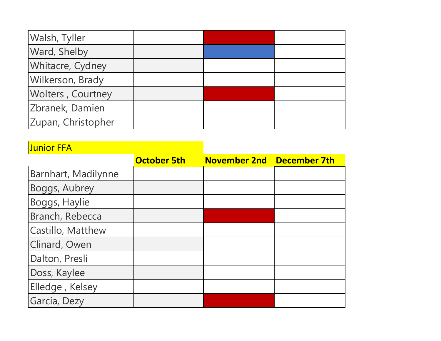| Walsh, Tyller      |  |  |
|--------------------|--|--|
| Ward, Shelby       |  |  |
| Whitacre, Cydney   |  |  |
| Wilkerson, Brady   |  |  |
| Wolters, Courtney  |  |  |
| Zbranek, Damien    |  |  |
| Zupan, Christopher |  |  |

## **Junior FFA**

|                     | <b>October 5th</b> | November 2nd December 7th |  |
|---------------------|--------------------|---------------------------|--|
| Barnhart, Madilynne |                    |                           |  |
| Boggs, Aubrey       |                    |                           |  |
| Boggs, Haylie       |                    |                           |  |
| Branch, Rebecca     |                    |                           |  |
| Castillo, Matthew   |                    |                           |  |
| Clinard, Owen       |                    |                           |  |
| Dalton, Presli      |                    |                           |  |
| Doss, Kaylee        |                    |                           |  |
| Elledge, Kelsey     |                    |                           |  |
| Garcia, Dezy        |                    |                           |  |